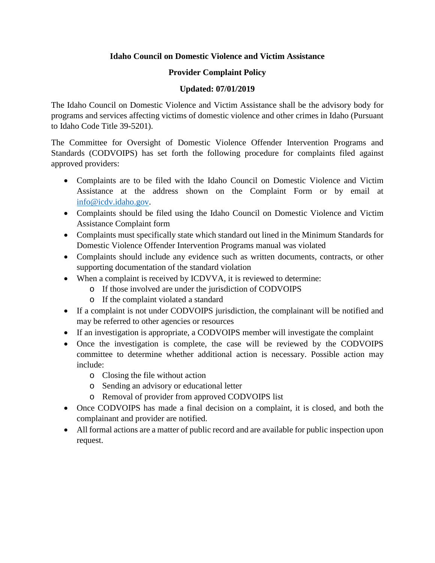# **Idaho Council on Domestic Violence and Victim Assistance**

# **Provider Complaint Policy**

# **Updated: 07/01/2019**

The Idaho Council on Domestic Violence and Victim Assistance shall be the advisory body for programs and services affecting victims of domestic violence and other crimes in Idaho (Pursuant to Idaho Code Title 39-5201).

The Committee for Oversight of Domestic Violence Offender Intervention Programs and Standards (CODVOIPS) has set forth the following procedure for complaints filed against approved providers:

- Complaints are to be filed with the Idaho Council on Domestic Violence and Victim Assistance at the address shown on the Complaint Form or by email at [info@icdv.idaho.gov.](mailto:info@icdv.idaho.gov)
- Complaints should be filed using the Idaho Council on Domestic Violence and Victim Assistance Complaint form
- Complaints must specifically state which standard out lined in the Minimum Standards for Domestic Violence Offender Intervention Programs manual was violated
- Complaints should include any evidence such as written documents, contracts, or other supporting documentation of the standard violation
- When a complaint is received by ICDVVA, it is reviewed to determine:
	- o If those involved are under the jurisdiction of CODVOIPS
	- o If the complaint violated a standard
- If a complaint is not under CODVOIPS jurisdiction, the complainant will be notified and may be referred to other agencies or resources
- If an investigation is appropriate, a CODVOIPS member will investigate the complaint
- Once the investigation is complete, the case will be reviewed by the CODVOIPS committee to determine whether additional action is necessary. Possible action may include:
	- o Closing the file without action
	- o Sending an advisory or educational letter
	- o Removal of provider from approved CODVOIPS list
- Once CODVOIPS has made a final decision on a complaint, it is closed, and both the complainant and provider are notified.
- All formal actions are a matter of public record and are available for public inspection upon request.